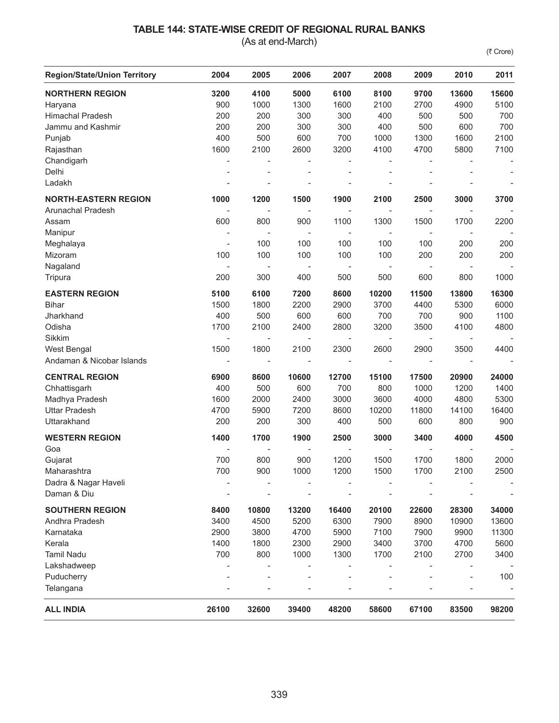## **TABLE 144: STATE-WISE CREDIT OF REGIONAL RURAL BANKS**

(As at end-March)

(₹ Crore)

| <b>Region/State/Union Territory</b> | 2004                     | 2005                     | 2006                     | 2007                     | 2008                     | 2009                     | 2010                     | 2011  |
|-------------------------------------|--------------------------|--------------------------|--------------------------|--------------------------|--------------------------|--------------------------|--------------------------|-------|
| <b>NORTHERN REGION</b>              | 3200                     | 4100                     | 5000                     | 6100                     | 8100                     | 9700                     | 13600                    | 15600 |
| Haryana                             | 900                      | 1000                     | 1300                     | 1600                     | 2100                     | 2700                     | 4900                     | 5100  |
| <b>Himachal Pradesh</b>             | 200                      | 200                      | 300                      | 300                      | 400                      | 500                      | 500                      | 700   |
| Jammu and Kashmir                   | 200                      | 200                      | 300                      | 300                      | 400                      | 500                      | 600                      | 700   |
| Punjab                              | 400                      | 500                      | 600                      | 700                      | 1000                     | 1300                     | 1600                     | 2100  |
| Rajasthan                           | 1600                     | 2100                     | 2600                     | 3200                     | 4100                     | 4700                     | 5800                     | 7100  |
| Chandigarh                          | $\overline{\phantom{a}}$ |                          |                          |                          |                          |                          |                          |       |
| Delhi                               | $\overline{a}$           |                          | $\overline{a}$           |                          | $\overline{a}$           | ÷,                       |                          |       |
| Ladakh                              |                          |                          |                          |                          |                          |                          |                          |       |
| <b>NORTH-EASTERN REGION</b>         | 1000                     | 1200                     | 1500                     | 1900                     | 2100                     | 2500                     | 3000                     | 3700  |
| Arunachal Pradesh                   |                          |                          |                          |                          |                          |                          |                          |       |
| Assam                               | 600                      | 800                      | 900                      | 1100                     | 1300                     | 1500                     | 1700                     | 2200  |
| Manipur                             | $\overline{\phantom{a}}$ |                          | $\overline{\phantom{a}}$ | ÷                        | $\overline{\phantom{a}}$ |                          |                          |       |
| Meghalaya                           | $\overline{\phantom{a}}$ | 100                      | 100                      | 100                      | 100                      | 100                      | 200                      | 200   |
| Mizoram                             | 100                      | 100                      | 100                      | 100                      | 100                      | 200                      | 200                      | 200   |
| Nagaland                            |                          | $\overline{\phantom{a}}$ | ÷                        | $\overline{\phantom{a}}$ | $\overline{\phantom{a}}$ | $\overline{\phantom{a}}$ |                          |       |
| Tripura                             | 200                      | 300                      | 400                      | 500                      | 500                      | 600                      | 800                      | 1000  |
| <b>EASTERN REGION</b>               | 5100                     | 6100                     | 7200                     | 8600                     | 10200                    | 11500                    | 13800                    | 16300 |
| <b>Bihar</b>                        | 1500                     | 1800                     | 2200                     | 2900                     | 3700                     | 4400                     | 5300                     | 6000  |
| Jharkhand                           | 400                      | 500                      | 600                      | 600                      | 700                      | 700                      | 900                      | 1100  |
| Odisha                              | 1700                     | 2100                     | 2400                     | 2800                     | 3200                     | 3500                     | 4100                     | 4800  |
| Sikkim                              | $\overline{\phantom{a}}$ | $\overline{a}$           | ÷                        | $\qquad \qquad -$        |                          | $\overline{\phantom{a}}$ | $\overline{\phantom{a}}$ |       |
| West Bengal                         | 1500                     | 1800                     | 2100                     | 2300                     | 2600                     | 2900                     | 3500                     | 4400  |
| Andaman & Nicobar Islands           | $\overline{\phantom{a}}$ | $\overline{a}$           |                          |                          | $\overline{\phantom{a}}$ | $\overline{\phantom{a}}$ | $\overline{\phantom{a}}$ |       |
| <b>CENTRAL REGION</b>               | 6900                     | 8600                     | 10600                    | 12700                    | 15100                    | 17500                    | 20900                    | 24000 |
| Chhattisgarh                        | 400                      | 500                      | 600                      | 700                      | 800                      | 1000                     | 1200                     | 1400  |
| Madhya Pradesh                      | 1600                     | 2000                     | 2400                     | 3000                     | 3600                     | 4000                     | 4800                     | 5300  |
| <b>Uttar Pradesh</b>                | 4700                     | 5900                     | 7200                     | 8600                     | 10200                    | 11800                    | 14100                    | 16400 |
| Uttarakhand                         | 200                      | 200                      | 300                      | 400                      | 500                      | 600                      | 800                      | 900   |
| <b>WESTERN REGION</b>               | 1400                     | 1700                     | 1900                     | 2500                     | 3000                     | 3400                     | 4000                     | 4500  |
| Goa                                 |                          |                          |                          |                          |                          |                          |                          |       |
| Gujarat                             | 700                      | 800                      | 900                      | 1200                     | 1500                     | 1700                     | 1800                     | 2000  |
| Maharashtra                         | 700                      | 900                      | 1000                     | 1200                     | 1500                     | 1700                     | 2100                     | 2500  |
| Dadra & Nagar Haveli                |                          |                          |                          |                          |                          |                          |                          |       |
| Daman & Diu                         |                          |                          |                          |                          |                          |                          |                          |       |
| <b>SOUTHERN REGION</b>              | 8400                     | 10800                    | 13200                    | 16400                    | 20100                    | 22600                    | 28300                    | 34000 |
| Andhra Pradesh                      | 3400                     | 4500                     | 5200                     | 6300                     | 7900                     | 8900                     | 10900                    | 13600 |
| Karnataka                           | 2900                     | 3800                     | 4700                     | 5900                     | 7100                     | 7900                     | 9900                     | 11300 |
| Kerala                              | 1400                     | 1800                     | 2300                     | 2900                     | 3400                     | 3700                     | 4700                     | 5600  |
| <b>Tamil Nadu</b>                   | 700                      | 800                      | 1000                     | 1300                     | 1700                     | 2100                     | 2700                     | 3400  |
| Lakshadweep                         |                          |                          |                          |                          |                          |                          |                          |       |
| Puducherry                          |                          |                          |                          |                          |                          |                          |                          | 100   |
| Telangana                           |                          |                          |                          |                          |                          |                          |                          |       |
| <b>ALL INDIA</b>                    | 26100                    | 32600                    | 39400                    | 48200                    | 58600                    | 67100                    | 83500                    | 98200 |